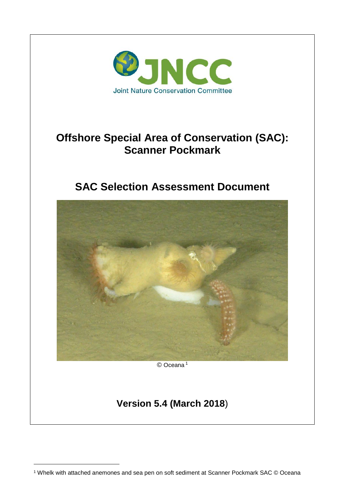

# **Offshore Special Area of Conservation (SAC): Scanner Pockmark**

# **SAC Selection Assessment Document**



-

<sup>1</sup> Whelk with attached anemones and sea pen on soft sediment at Scanner Pockmark SAC © Oceana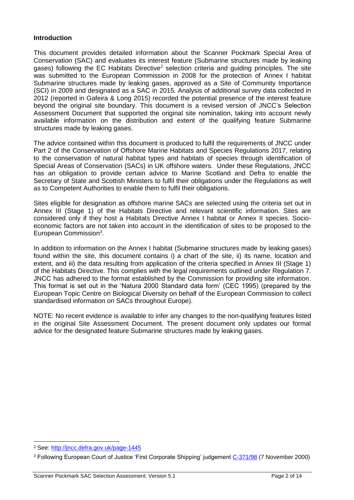## **Introduction**

This document provides detailed information about the Scanner Pockmark Special Area of Conservation (SAC) and evaluates its interest feature (Submarine structures made by leaking gases) following the EC Habitats Directive<sup>2</sup> selection criteria and guiding principles. The site was submitted to the European Commission in 2008 for the protection of Annex I habitat Submarine structures made by leaking gases, approved as a Site of Community Importance (SCI) in 2009 and designated as a SAC in 2015. Analysis of additional survey data collected in 2012 (reported in Gafeira & Long 2015) recorded the potential presence of the interest feature beyond the original site boundary. This document is a revised version of JNCC's Selection Assessment Document that supported the original site nomination, taking into account newly available information on the distribution and extent of the qualifying feature Submarine structures made by leaking gases.

The advice contained within this document is produced to fulfil the requirements of JNCC under Part 2 of the Conservation of Offshore Marine Habitats and Species Regulations 2017, relating to the conservation of natural habitat types and habitats of species through identification of Special Areas of Conservation (SACs) in UK offshore waters. Under these Regulations, JNCC has an obligation to provide certain advice to Marine Scotland and Defra to enable the Secretary of State and Scottish Ministers to fulfil their obligations under the Regulations as well as to Competent Authorities to enable them to fulfil their obligations.

Sites eligible for designation as offshore marine SACs are selected using the criteria set out in Annex III (Stage 1) of the Habitats Directive and relevant scientific information. Sites are considered only if they host a Habitats Directive Annex I habitat or Annex II species. Socioeconomic factors are not taken into account in the identification of sites to be proposed to the European Commission<sup>3</sup>.

In addition to information on the Annex I habitat (Submarine structures made by leaking gases) found within the site, this document contains i) a chart of the site, ii) its name, location and extent, and iii) the data resulting from application of the criteria specified in Annex III (Stage 1) of the Habitats Directive. This complies with the legal requirements outlined under Regulation 7. JNCC has adhered to the format established by the Commission for providing site information. This format is set out in the 'Natura 2000 Standard data form' (CEC 1995) (prepared by the European Topic Centre on Biological Diversity on behalf of the European Commission to collect standardised information on SACs throughout Europe).

NOTE: No recent evidence is available to infer any changes to the non-qualifying features listed in the original Site Assessment Document. The present document only updates our formal advice for the designated feature Submarine structures made by leaking gases.

<sup>-</sup><sup>2</sup> See:<http://jncc.defra.gov.uk/page-1445>

<sup>&</sup>lt;sup>3</sup> Following European Court of Justice 'First Corporate Shipping' judgement [C-371/98](http://curia.europa.eu/jurisp/cgi-bin/form.pl?lang=en&newform=newform&jurcdj=jurcdj&docj=docj&typeord=ALLTYP&numaff=&ddatefs=&mdatefs=&ydatefs=&ddatefe=&mdatefe=&ydatefe=&nomusuel=first+corporate+shipping&domaine=&mots=&resmax=100&Submit=Submit) (7 November 2000)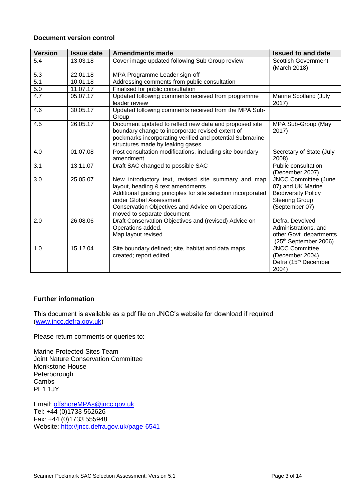#### **Document version control**

| <b>Version</b>   | <b>Issue date</b> | <b>Amendments made</b>                                                                                                                                                                                                                                                 | <b>Issued to and date</b>                                                                                                 |
|------------------|-------------------|------------------------------------------------------------------------------------------------------------------------------------------------------------------------------------------------------------------------------------------------------------------------|---------------------------------------------------------------------------------------------------------------------------|
| 5.4              | 13.03.18          | Cover image updated following Sub Group review                                                                                                                                                                                                                         | <b>Scottish Government</b><br>(March 2018)                                                                                |
| 5.3              | 22.01.18          | MPA Programme Leader sign-off                                                                                                                                                                                                                                          |                                                                                                                           |
| 5.1              | 10.01.18          | Addressing comments from public consultation                                                                                                                                                                                                                           |                                                                                                                           |
| 5.0              | 11.07.17          | Finalised for public consultation                                                                                                                                                                                                                                      |                                                                                                                           |
| $\overline{4.7}$ | 05.07.17          | Updated following comments received from programme<br>leader review                                                                                                                                                                                                    | Marine Scotland (July<br>2017)                                                                                            |
| 4.6              | 30.05.17          | Updated following comments received from the MPA Sub-<br>Group                                                                                                                                                                                                         |                                                                                                                           |
| 4.5              | 26.05.17          | Document updated to reflect new data and proposed site<br>boundary change to incorporate revised extent of<br>pockmarks incorporating verified and potential Submarine<br>structures made by leaking gases.                                                            | MPA Sub-Group (May<br>2017)                                                                                               |
| 4.0              | 01.07.08          | Post consultation modifications, including site boundary<br>amendment                                                                                                                                                                                                  | Secretary of State (July<br>2008)                                                                                         |
| 3.1              | 13.11.07          | Draft SAC changed to possible SAC                                                                                                                                                                                                                                      | Public consultation<br>(December 2007)                                                                                    |
| 3.0              | 25.05.07          | New introductory text, revised site summary and map<br>layout, heading & text amendments<br>Additional guiding principles for site selection incorporated<br>under Global Assessment<br>Conservation Objectives and Advice on Operations<br>moved to separate document | <b>JNCC Committee (June</b><br>07) and UK Marine<br><b>Biodiversity Policy</b><br><b>Steering Group</b><br>(September 07) |
| 2.0              | 26.08.06          | Draft Conservation Objectives and (revised) Advice on<br>Operations added.<br>Map layout revised                                                                                                                                                                       | Defra, Devolved<br>Administrations, and<br>other Govt. departments<br>(25th September 2006)                               |
| 1.0              | 15.12.04          | Site boundary defined; site, habitat and data maps<br>created; report edited                                                                                                                                                                                           | <b>JNCC Committee</b><br>(December 2004)<br>Defra (15 <sup>th</sup> December<br>2004)                                     |

## **Further information**

This document is available as a pdf file on JNCC's website for download if required [\(www.jncc.defra.gov.uk\)](http://jncc.defra.gov.uk/)

Please return comments or queries to:

Marine Protected Sites Team Joint Nature Conservation Committee Monkstone House Peterborough Cambs PE1 1JY

Email: [offshoreMPAs@jncc.gov.uk](mailto:offshoreMPAs@jncc.gov.uk) Tel: +44 (0)1733 562626 Fax: +44 (0)1733 555948 Website:<http://jncc.defra.gov.uk/page-6541>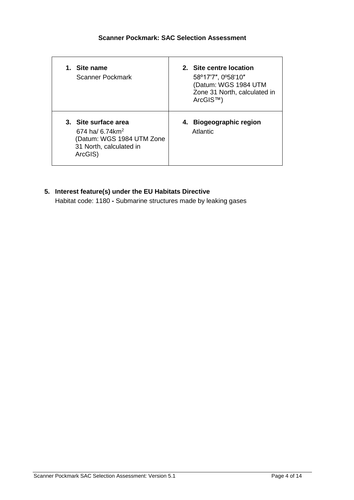| 1. Site name<br>Scanner Pockmark                                                                                        | 2. Site centre location<br>58°17'7", 0°58'10"<br>(Datum: WGS 1984 UTM<br>Zone 31 North, calculated in<br>ArcGIS™) |
|-------------------------------------------------------------------------------------------------------------------------|-------------------------------------------------------------------------------------------------------------------|
| 3. Site surface area<br>674 ha/ 6.74 km <sup>2</sup><br>(Datum: WGS 1984 UTM Zone<br>31 North, calculated in<br>ArcGIS) | 4. Biogeographic region<br>Atlantic                                                                               |

**5. Interest feature(s) under the EU Habitats Directive** Habitat code: 1180 **-** Submarine structures made by leaking gases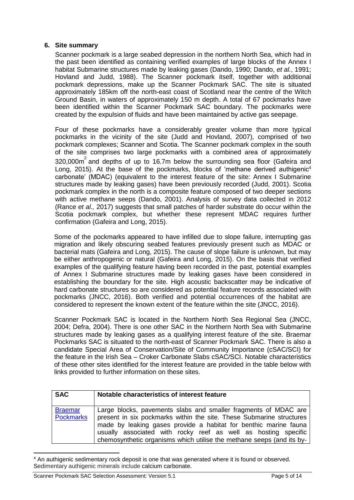# **6. Site summary**

Scanner pockmark is a large seabed depression in the northern North Sea, which had in the past been identified as containing verified examples of large blocks of the Annex I habitat Submarine structures made by leaking gases (Dando, 1990; Dando, *et al.*, 1991; Hovland and Judd, 1988). The Scanner pockmark itself, together with additional pockmark depressions, make up the Scanner Pockmark SAC. The site is situated approximately 185km off the north-east coast of Scotland near the centre of the Witch Ground Basin, in waters of approximately 150 m depth. A total of 67 pockmarks have been identified within the Scanner Pockmark SAC boundary. The pockmarks were created by the expulsion of fluids and have been maintained by active gas seepage.

Four of these pockmarks have a considerably greater volume than more typical pockmarks in the vicinity of the site (Judd and Hovland, 2007), comprised of two pockmark complexes; Scanner and Scotia. The Scanner pockmark complex in the south of the site comprises two large pockmarks with a combined area of approximately 320,000 $m^2$  and depths of up to 16.7m below the surrounding sea floor (Gafeira and Long, 2015). At the base of the pockmarks, blocks of 'methane derived authigenic<sup>4</sup> carbonate' (MDAC) (equivalent to the interest feature of the site: Annex I Submarine structures made by leaking gases) have been previously recorded (Judd, 2001). Scotia pockmark complex in the north is a composite feature composed of two deeper sections with active methane seeps (Dando, 2001). Analysis of survey data collected in 2012 (Rance *et al.,* 2017) suggests that small patches of harder substrate do occur within the Scotia pockmark complex, but whether these represent MDAC requires further confirmation (Gafeira and Long, 2015).

Some of the pockmarks appeared to have infilled due to slope failure, interrupting gas migration and likely obscuring seabed features previously present such as MDAC or bacterial mats (Gafeira and Long, 2015). The cause of slope failure is unknown, but may be either anthropogenic or natural (Gafeira and Long, 2015). On the basis that verified examples of the qualifying feature having been recorded in the past, potential examples of Annex I Submarine structures made by leaking gases have been considered in establishing the boundary for the site. High acoustic backscatter may be indicative of hard carbonate structures so are considered as potential feature records associated with pockmarks (JNCC, 2016). Both verified and potential occurrences of the habitat are considered to represent the known extent of the feature within the site (JNCC, 2016).

Scanner Pockmark SAC is located in the Northern North Sea Regional Sea (JNCC, 2004; Defra, 2004). There is one other SAC in the Northern North Sea with Submarine structures made by leaking gases as a qualifying interest feature of the site. Braemar Pockmarks SAC is situated to the north-east of Scanner Pockmark SAC. There is also a candidate Special Area of Conservation/Site of Community Importance (cSAC/SCI) for the feature in the Irish Sea – Croker Carbonate Slabs cSAC/SCI. Notable characteristics of these other sites identified for the interest feature are provided in the table below with links provided to further information on these sites.

| <b>SAC</b>                         | Notable characteristics of interest feature                                                                                                                                                                                                                                                                                                            |
|------------------------------------|--------------------------------------------------------------------------------------------------------------------------------------------------------------------------------------------------------------------------------------------------------------------------------------------------------------------------------------------------------|
| <b>Braemar</b><br><b>Pockmarks</b> | Large blocks, pavements slabs and smaller fragments of MDAC are<br>present in six pockmarks within the site. These Submarine structures<br>made by leaking gases provide a habitat for benthic marine fauna<br>usually associated with rocky reef as well as hosting specific<br>chemosynthetic organisms which utilise the methane seeps (and its by- |

<sup>4</sup> An authigenic sedimentary rock deposit is one that was generated where it is found or observed. Sedimentary authigenic minerals include calcium carbonate.

-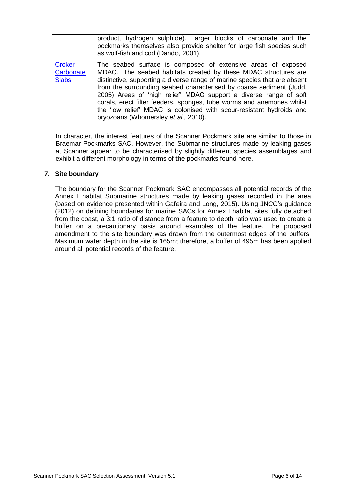|                                            | product, hydrogen sulphide). Larger blocks of carbonate and the<br>pockmarks themselves also provide shelter for large fish species such<br>as wolf-fish and cod (Dando, 2001).                                                                                                                                                                                                                                                                                                                                                                   |
|--------------------------------------------|---------------------------------------------------------------------------------------------------------------------------------------------------------------------------------------------------------------------------------------------------------------------------------------------------------------------------------------------------------------------------------------------------------------------------------------------------------------------------------------------------------------------------------------------------|
| <b>Croker</b><br>Carbonate<br><b>Slabs</b> | The seabed surface is composed of extensive areas of exposed<br>MDAC. The seabed habitats created by these MDAC structures are<br>distinctive, supporting a diverse range of marine species that are absent<br>from the surrounding seabed characterised by coarse sediment (Judd,<br>2005). Areas of 'high relief' MDAC support a diverse range of soft<br>corals, erect filter feeders, sponges, tube worms and anemones whilst<br>the 'low relief' MDAC is colonised with scour-resistant hydroids and<br>bryozoans (Whomersley et al., 2010). |

In character, the interest features of the Scanner Pockmark site are similar to those in Braemar Pockmarks SAC. However, the Submarine structures made by leaking gases at Scanner appear to be characterised by slightly different species assemblages and exhibit a different morphology in terms of the pockmarks found here.

## **7. Site boundary**

The boundary for the Scanner Pockmark SAC encompasses all potential records of the Annex I habitat Submarine structures made by leaking gases recorded in the area (based on evidence presented within Gafeira and Long, 2015). Using JNCC's guidance (2012) on defining boundaries for marine SACs for Annex I habitat sites fully detached from the coast, a 3:1 ratio of distance from a feature to depth ratio was used to create a buffer on a precautionary basis around examples of the feature. The proposed amendment to the site boundary was drawn from the outermost edges of the buffers. Maximum water depth in the site is 165m; therefore, a buffer of 495m has been applied around all potential records of the feature.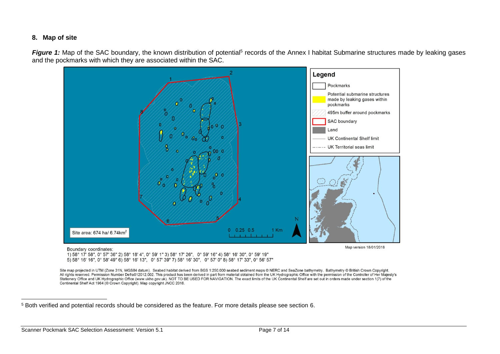#### **8. Map of site**

Figure 1: Map of the SAC boundary, the known distribution of potential<sup>5</sup> records of the Annex I habitat Submarine structures made by leaking gases and the pockmarks with which they are associated within the SAC.



Boundary coordinates:

1) 58° 17' 58", 0° 57' 36" 2) 58° 18' 4", 0° 59' 1" 3) 58° 17' 26", 0° 59' 16" 4) 58° 16' 30", 0° 59' 19" 5) 58° 16' 16", 0° 58' 49" 6) 58° 16' 13", 0° 57' 39" 7) 58° 16' 30", 0° 57' 0" 8) 58° 17' 33", 0° 56' 57"

Site map projected in UTM (Zone 31N, WGS84 datum). Seabed habitat derived from BGS 1:250,000 seabed sediment maps @ NERC and SeaZone bathymetry. Bathymetry @ British Crown Copyright. All rights reserved. Permission Number Defra012012.002. This product has been derived in part from material obtained from the UK Hydrographic Office with the permission of the Controller of Her Majesty's Stationery Office and UK Hydrographic Office (www.ukho.gov.uk). NOT TO BE USED FOR NAVIGATION. The exact limits of the UK Continental Shelf are set out in orders made under section 1(7) of the Continental Shelf Act 1964 (@ Crown Copyright). Map copyright JNCC 2018.

-

<sup>5</sup> Both verified and potential records should be considered as the feature. For more details please see section 6.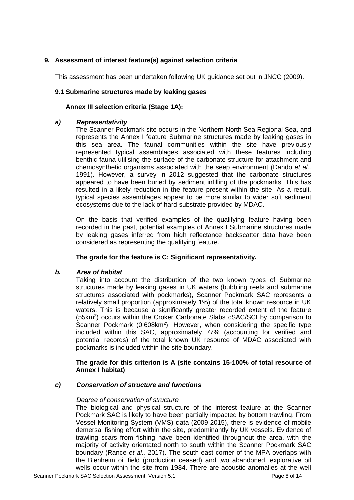# **9. Assessment of interest feature(s) against selection criteria**

This assessment has been undertaken following UK guidance set out in JNCC (2009).

## **9.1 Submarine structures made by leaking gases**

## **Annex III selection criteria (Stage 1A):**

## *a) Representativity*

The Scanner Pockmark site occurs in the Northern North Sea Regional Sea, and represents the Annex I feature Submarine structures made by leaking gases in this sea area. The faunal communities within the site have previously represented typical assemblages associated with these features including benthic fauna utilising the surface of the carbonate structure for attachment and chemosynthetic organisms associated with the seep environment (Dando *et al.,* 1991). However, a survey in 2012 suggested that the carbonate structures appeared to have been buried by sediment infilling of the pockmarks. This has resulted in a likely reduction in the feature present within the site. As a result, typical species assemblages appear to be more similar to wider soft sediment ecosystems due to the lack of hard substrate provided by MDAC.

On the basis that verified examples of the qualifying feature having been recorded in the past, potential examples of Annex I Submarine structures made by leaking gases inferred from high reflectance backscatter data have been considered as representing the qualifying feature.

## **The grade for the feature is C: Significant representativity.**

## *b. Area of habitat*

Taking into account the distribution of the two known types of Submarine structures made by leaking gases in UK waters (bubbling reefs and submarine structures associated with pockmarks), Scanner Pockmark SAC represents a relatively small proportion (approximately 1%) of the total known resource in UK waters. This is because a significantly greater recorded extent of the feature (55km<sup>2</sup> ) occurs within the Croker Carbonate Slabs cSAC/SCI by comparison to Scanner Pockmark (0.608km<sup>2</sup>). However, when considering the specific type included within this SAC, approximately 77% (accounting for verified and potential records) of the total known UK resource of MDAC associated with pockmarks is included within the site boundary.

## **The grade for this criterion is A (site contains 15-100% of total resource of Annex I habitat)**

# *c) Conservation of structure and functions*

## *Degree of conservation of structure*

The biological and physical structure of the interest feature at the Scanner Pockmark SAC is likely to have been partially impacted by bottom trawling. From Vessel Monitoring System (VMS) data (2009-2015), there is evidence of mobile demersal fishing effort within the site, predominantly by UK vessels. Evidence of trawling scars from fishing have been identified throughout the area, with the majority of activity orientated north to south within the Scanner Pockmark SAC boundary (Rance *et al.,* 2017). The south-east corner of the MPA overlaps with the Blenheim oil field (production ceased) and two abandoned, explorative oil wells occur within the site from 1984. There are acoustic anomalies at the well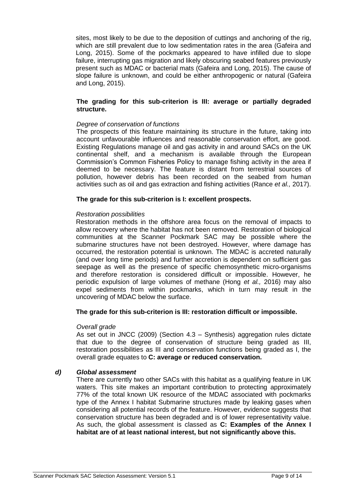sites, most likely to be due to the deposition of cuttings and anchoring of the rig, which are still prevalent due to low sedimentation rates in the area (Gafeira and Long, 2015). Some of the pockmarks appeared to have infilled due to slope failure, interrupting gas migration and likely obscuring seabed features previously present such as MDAC or bacterial mats (Gafeira and Long, 2015). The cause of slope failure is unknown, and could be either anthropogenic or natural (Gafeira and Long, 2015).

#### **The grading for this sub-criterion is III: average or partially degraded structure.**

## *Degree of conservation of functions*

The prospects of this feature maintaining its structure in the future, taking into account unfavourable influences and reasonable conservation effort, are good. Existing Regulations manage oil and gas activity in and around SACs on the UK continental shelf, and a mechanism is available through the European Commission's Common Fisheries Policy to manage fishing activity in the area if deemed to be necessary. The feature is distant from terrestrial sources of pollution, however debris has been recorded on the seabed from human activities such as oil and gas extraction and fishing activities (Rance *et al.,* 2017).

#### **The grade for this sub-criterion is I: excellent prospects.**

#### *Restoration possibilities*

Restoration methods in the offshore area focus on the removal of impacts to allow recovery where the habitat has not been removed. Restoration of biological communities at the Scanner Pockmark SAC may be possible where the submarine structures have not been destroyed. However, where damage has occurred, the restoration potential is unknown. The MDAC is accreted naturally (and over long time periods) and further accretion is dependent on sufficient gas seepage as well as the presence of specific chemosynthetic micro-organisms and therefore restoration is considered difficult or impossible. However, he periodic expulsion of large volumes of methane (Hong *et al.,* 2016) may also expel sediments from within pockmarks, which in turn may result in the uncovering of MDAC below the surface.

#### **The grade for this sub-criterion is III: restoration difficult or impossible.**

#### *Overall grade*

As set out in JNCC (2009) (Section 4.3 – Synthesis) aggregation rules dictate that due to the degree of conservation of structure being graded as III, restoration possibilities as III and conservation functions being graded as I, the overall grade equates to **C: average or reduced conservation.** 

#### *d) Global assessment*

There are currently two other SACs with this habitat as a qualifying feature in UK waters. This site makes an important contribution to protecting approximately 77% of the total known UK resource of the MDAC associated with pockmarks type of the Annex I habitat Submarine structures made by leaking gases when considering all potential records of the feature. However, evidence suggests that conservation structure has been degraded and is of lower representativity value. As such, the global assessment is classed as **C: Examples of the Annex I habitat are of at least national interest, but not significantly above this.**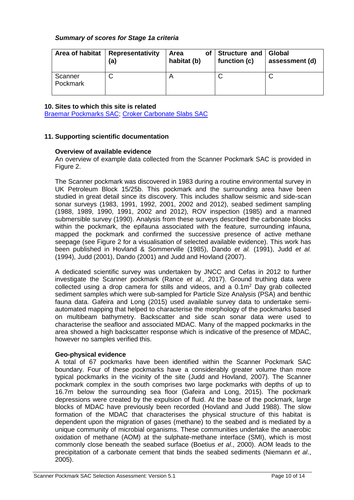## *Summary of scores for Stage 1a criteria*

| Area of habitat     | <b>Representativity</b><br>(a) | <b>Area</b><br>habitat (b) | of Structure and Global<br>function (c) | assessment (d) |
|---------------------|--------------------------------|----------------------------|-----------------------------------------|----------------|
| Scanner<br>Pockmark |                                |                            |                                         |                |

#### **10. Sites to which this site is related**

Braemar [Pockmarks SAC;](http://jncc.defra.gov.uk/page-6529) [Croker Carbonate Slabs SAC](http://jncc.defra.gov.uk/page-6530)

## **11. Supporting scientific documentation**

#### **Overview of available evidence**

An overview of example data collected from the Scanner Pockmark SAC is provided in Figure 2.

The Scanner pockmark was discovered in 1983 during a routine environmental survey in UK Petroleum Block 15/25b. This pockmark and the surrounding area have been studied in great detail since its discovery. This includes shallow seismic and side-scan sonar surveys (1983, 1991, 1992, 2001, 2002 and 2012), seabed sediment sampling (1988, 1989, 1990, 1991, 2002 and 2012), ROV inspection (1985) and a manned submersible survey (1990). Analysis from these surveys described the carbonate blocks within the pockmark, the epifauna associated with the feature, surrounding infauna, mapped the pockmark and confirmed the successive presence of active methane seepage (see Figure 2 for a visualisation of selected available evidence). This work has been published in Hovland & Sommerville (1985), Dando *et al.* (1991), Judd *et al.* (1994), Judd (2001), Dando (2001) and Judd and Hovland (2007).

A dedicated scientific survey was undertaken by JNCC and Cefas in 2012 to further investigate the Scanner pockmark (Rance *et al.,* 2017). Ground truthing data were collected using a drop camera for stills and videos, and a  $0.1\,\mathrm{m}^2$  Day grab collected sediment samples which were sub-sampled for Particle Size Analysis (PSA) and benthic fauna data. Gafeira and Long (2015) used available survey data to undertake semiautomated mapping that helped to characterise the morphology of the pockmarks based on multibeam bathymetry. Backscatter and side scan sonar data were used to characterise the seafloor and associated MDAC. Many of the mapped pockmarks in the area showed a high backscatter response which is indicative of the presence of MDAC, however no samples verified this.

## **Geo-physical evidence**

A total of 67 pockmarks have been identified within the Scanner Pockmark SAC boundary. Four of these pockmarks have a considerably greater volume than more typical pockmarks in the vicinity of the site (Judd and Hovland, 2007). The Scanner pockmark complex in the south comprises two large pockmarks with depths of up to 16.7m below the surrounding sea floor (Gafeira and Long, 2015). The pockmark depressions were created by the expulsion of fluid. At the base of the pockmark, large blocks of MDAC have previously been recorded (Hovland and Judd 1988). The slow formation of the MDAC that characterises the physical structure of this habitat is dependent upon the migration of gases (methane) to the seabed and is mediated by a unique community of microbial organisms. These communities undertake the anaerobic oxidation of methane (AOM) at the sulphate-methane interface (SMI), which is most commonly close beneath the seabed surface (Boetius *et al*., 2000). AOM leads to the precipitation of a carbonate cement that binds the seabed sediments (Niemann *et al*., 2005).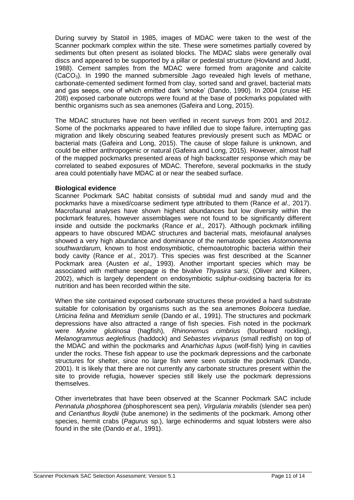During survey by Statoil in 1985, images of MDAC were taken to the west of the Scanner pockmark complex within the site. These were sometimes partially covered by sediments but often present as isolated blocks. The MDAC slabs were generally oval discs and appeared to be supported by a pillar or pedestal structure (Hovland and Judd, 1988). Cement samples from the MDAC were formed from aragonite and calcite  $(CaCO<sub>3</sub>)$ . In 1990 the manned submersible Jago revealed high levels of methane, carbonate-cemented sediment formed from clay, sorted sand and gravel, bacterial mats and gas seeps, one of which emitted dark 'smoke' (Dando, 1990). In 2004 (cruise HE 208) exposed carbonate outcrops were found at the base of pockmarks populated with benthic organisms such as sea anemones (Gafeira and Long, 2015).

The MDAC structures have not been verified in recent surveys from 2001 and 2012. Some of the pockmarks appeared to have infilled due to slope failure, interrupting gas migration and likely obscuring seabed features previously present such as MDAC or bacterial mats (Gafeira and Long, 2015). The cause of slope failure is unknown, and could be either anthropogenic or natural (Gafeira and Long, 2015). However, almost half of the mapped pockmarks presented areas of high backscatter response which may be correlated to seabed exposures of MDAC. Therefore, several pockmarks in the study area could potentially have MDAC at or near the seabed surface.

## **Biological evidence**

Scanner Pockmark SAC habitat consists of subtidal mud and sandy mud and the pockmarks have a mixed/coarse sediment type attributed to them (Rance *et al.,* 2017). Macrofaunal analyses have shown highest abundances but low diversity within the pockmark features, however assemblages were not found to be significantly different inside and outside the pockmarks (Rance *et al.,* 2017). Although pockmark infilling appears to have obscured MDAC structures and bacterial mats, meiofaunal analyses showed a very high abundance and dominance of the nematode species *Astomonema southwardarum,* known to host endosymbiotic, chemoautotrophic bacteria within their body cavity (Rance *et al.*, 2017). This species was first described at the Scanner Pockmark area (Austen *et al.,* 1993). Another important species which may be associated with methane seepage is the bivalve *Thyasira sarsi*, (Oliver and Killeen, 2002), which is largely dependent on endosymbiotic sulphur-oxidising bacteria for its nutrition and has been recorded within the site.

When the site contained exposed carbonate structures these provided a hard substrate suitable for colonisation by organisms such as the sea anemones *Bolocera tuediae, Urticina felina* and *Metridium senile* (Dando *et al.,* 1991). The structures and pockmark depressions have also attracted a range of fish species. Fish noted in the pockmark were *Myxine glutinosa* (hagfish), *Rhinonemus cimbrius* (fourbeard rockling), *Melanogrammus aeglefinus* (haddock) and *Sebastes viviparus* (small redfish) on top of the MDAC and within the pockmarks and *Anarhichas lupus* (wolf-fish) lying in cavities under the rocks. These fish appear to use the pockmark depressions and the carbonate structures for shelter, since no large fish were seen outside the pockmark (Dando, 2001). It is likely that there are not currently any carbonate structures present within the site to provide refugia, however species still likely use the pockmark depressions themselves.

Other invertebrates that have been observed at the Scanner Pockmark SAC include *Pennatula phosphorea (*phosphorescent sea pen*), Virgularia mirabilis* (slender sea pen) and *Cerianthus lloydii* (tube anemone) in the sediments of the pockmark. Among other species, hermit crabs (*Pagurus* sp.), large echinoderms and squat lobsters were also found in the site (Dando *et al.,* 1991).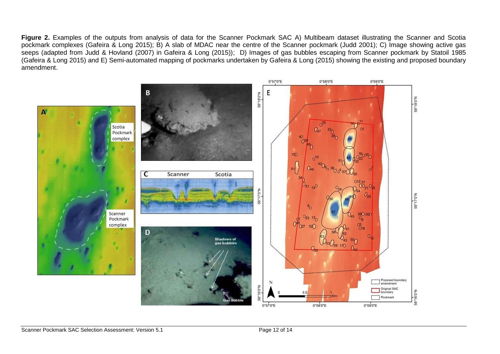Figure 2. Examples of the outputs from analysis of data for the Scanner Pockmark SAC A) Multibeam dataset illustrating the Scanner and Scotia pockmark complexes (Gafeira & Long 2015); B) A slab of MDAC near the centre of the Scanner pockmark (Judd 2001); C) Image showing active gas seeps (adapted from Judd & Hovland (2007) in Gafeira & Long (2015)); D) Images of gas bubbles escaping from Scanner pockmark by Statoil 1985 (Gafeira & Long 2015) and E) Semi-automated mapping of pockmarks undertaken by Gafeira & Long (2015) showing the existing and proposed boundary amendment.

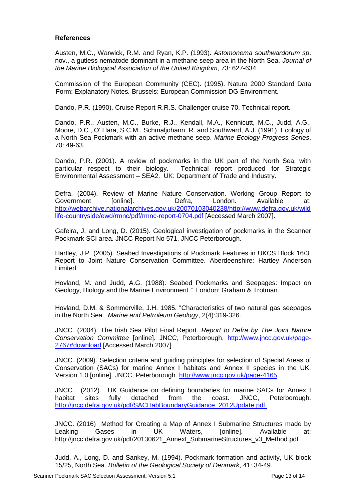#### **References**

Austen, M.C., Warwick, R.M. and Ryan, K.P. (1993). *Astomonema southwardorum sp*. nov., a gutless nematode dominant in a methane seep area in the North Sea. *Journal of the Marine Biological Association of the United Kingdom*, 73: 627-634.

Commission of the European Community (CEC). (1995). Natura 2000 Standard Data Form: Explanatory Notes*.* Brussels: European Commission DG Environment.

Dando, P.R. (1990). Cruise Report R.R.S. Challenger cruise 70. Technical report.

Dando, P.R., Austen, M.C., Burke, R.J., Kendall, M.A., Kennicutt, M.C., Judd, A.G., Moore, D.C., O' Hara, S.C.M., Schmaljohann, R. and Southward, A.J. (1991). Ecology of a North Sea Pockmark with an active methane seep. *Marine Ecology Progress Series*, 70: 49-63.

Dando, P.R. (2001). A review of pockmarks in the UK part of the North Sea, with particular respect to their biology. Technical report produced for Strategic Environmental Assessment – SEA2. UK: Department of Trade and Industry.

Defra. (2004). Review of Marine Nature Conservation. Working Group Report to Government [online]. Defra, London. Available at: [http://webarchive.nationalarchives.gov.uk/20070103040238/http://www.defra.gov.uk/wild](http://webarchive.nationalarchives.gov.uk/20070103040238/http:/www.defra.gov.uk/wildlife-countryside/ewd/rmnc/pdf/rmnc-report-0704.pdf) [life-countryside/ewd/rmnc/pdf/rmnc-report-0704.pdf](http://webarchive.nationalarchives.gov.uk/20070103040238/http:/www.defra.gov.uk/wildlife-countryside/ewd/rmnc/pdf/rmnc-report-0704.pdf) [Accessed March 2007].

Gafeira, J. and Long, D. (2015). Geological investigation of pockmarks in the Scanner Pockmark SCI area. JNCC Report No 571. JNCC Peterborough.

Hartley, J.P. (2005). Seabed Investigations of Pockmark Features in UKCS Block 16/3. Report to Joint Nature Conservation Committee. Aberdeenshire: Hartley Anderson Limited.

Hovland, M. and Judd, A.G. (1988). Seabed Pockmarks and Seepages: Impact on Geology, Biology and the Marine Environment.*"* London: Graham & Trotman.

Hovland, D.M. & Sommerville, J.H. 1985. "Characteristics of two natural gas seepages in the North Sea. *Marine and Petroleum Geology*, 2(4):319-326.

JNCC. (2004). The Irish Sea Pilot Final Report. *Report to Defra by The Joint Nature Conservation Committee* [online]. JNCC, Peterborough. [http://www.jncc.gov.uk/page-](http://www.jncc.gov.uk/page-2767#download)[2767#download](http://www.jncc.gov.uk/page-2767#download) [Accessed March 2007]

JNCC. (2009). Selection criteria and guiding principles for selection of Special Areas of Conservation (SACs) for marine Annex I habitats and Annex II species in the UK. Version 1.0 [online]. JNCC, Peterborough. [http://www.jncc.gov.uk/page-4165.](http://www.jncc.gov.uk/page-4165)

JNCC. (2012). UK Guidance on defining boundaries for marine SACs for Annex I habitat sites fully detached from the coast. JNCC, Peterborough. [http://jncc.defra.gov.uk/pdf/SACHabBoundaryGuidance\\_2012Update.pdf.](http://jncc.defra.gov.uk/pdf/SACHabBoundaryGuidance_2012Update.pdf)

JNCC. (2016) Method for Creating a Map of Annex I Submarine Structures made by Leaking Gases in UK Waters, [online]. Available at: http://jncc.defra.gov.uk/pdf/20130621\_AnnexI\_SubmarineStructures\_v3\_Method.pdf

Judd, A., Long, D. and Sankey, M. (1994). Pockmark formation and activity, UK block 15/25, North Sea. *Bulletin of the Geological Society of Denmark*, 41: 34-49.